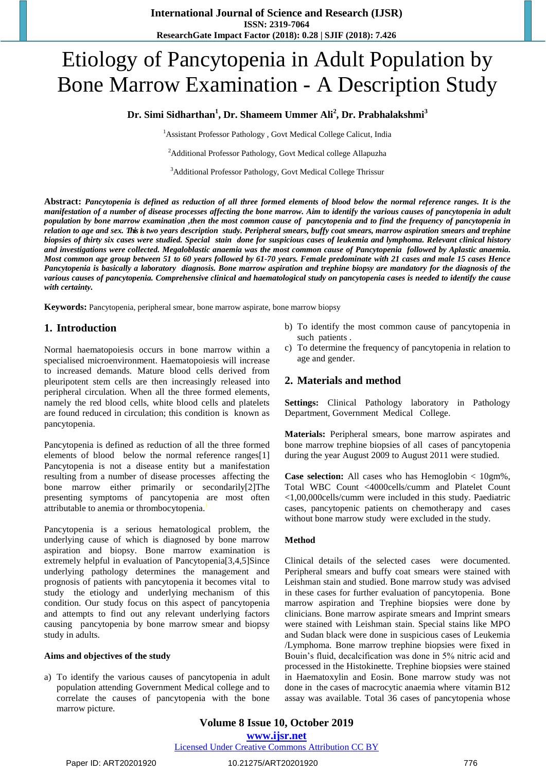# Etiology of Pancytopenia in Adult Population by Bone Marrow Examination - A Description Study

# **Dr. Simi Sidharthan<sup>1</sup> , Dr. Shameem Ummer Ali<sup>2</sup> , Dr. Prabhalakshmi<sup>3</sup>**

<sup>1</sup> Assistant Professor Pathology, Govt Medical College Calicut, India

<sup>2</sup>Additional Professor Pathology, Govt Medical college Allapuzha

<sup>3</sup>Additional Professor Pathology, Govt Medical College Thrissur

**Abstract:** *Pancytopenia is defined as reduction of all three formed elements of blood below the normal reference ranges. It is the manifestation of a number of disease processes affecting the bone marrow. Aim to identify the various causes of pancytopenia in adult population by bone marrow examination ,then the most common cause of pancytopenia and to find the frequency of pancytopenia in relation to age and sex. Thisis two years description study. Peripheral smears, buffy coat smears, marrow aspiration smears and trephine biopsies of thirty six cases were studied. Special stain done for suspicious cases of leukemia and lymphoma. Relevant clinical history and investigations were collected. Megaloblastic anaemia was the most common cause of Pancytopenia followed by Aplastic anaemia. Most common age group between 51 to 60 years followed by 61-70 years. Female predominate with 21 cases and male 15 cases Hence Pancytopenia is basically a laboratory diagnosis. Bone marrow aspiration and trephine biopsy are mandatory for the diagnosis of the various causes of pancytopenia. Comprehensive clinical and haematological study on pancytopenia cases is needed to identify the cause with certainty.*

**Keywords:** Pancytopenia, peripheral smear, bone marrow aspirate, bone marrow biopsy

# **1. Introduction**

Normal haematopoiesis occurs in bone marrow within a specialised microenvironment. Haematopoiesis will increase to increased demands. Mature blood cells derived from pleuripotent stem cells are then increasingly released into peripheral circulation. When all the three formed elements, namely the red blood cells, white blood cells and platelets are found reduced in circulation; this condition is known as pancytopenia.

Pancytopenia is defined as reduction of all the three formed elements of blood below the normal reference ranges[1] Pancytopenia is not a disease entity but a manifestation resulting from a number of disease processes affecting the bone marrow either primarily or secondarily[2]The presenting symptoms of pancytopenia are most often attributable to anemia or thrombocytopenia.)

Pancytopenia is a serious hematological problem, the underlying cause of which is diagnosed by bone marrow aspiration and biopsy. Bone marrow examination is extremely helpful in evaluation of Pancytopenia[3,4,5]Since underlying pathology determines the management and prognosis of patients with pancytopenia it becomes vital to study the etiology and underlying mechanism of this condition. Our study focus on this aspect of pancytopenia and attempts to find out any relevant underlying factors causing pancytopenia by bone marrow smear and biopsy study in adults.

#### **Aims and objectives of the study**

a) To identify the various causes of pancytopenia in adult population attending Government Medical college and to correlate the causes of pancytopenia with the bone marrow picture.

- b) To identify the most common cause of pancytopenia in such patients .
- c) To determine the frequency of pancytopenia in relation to age and gender.

### **2. Materials and method**

**Settings:** Clinical Pathology laboratory in Pathology Department, Government Medical College.

**Materials:** Peripheral smears, bone marrow aspirates and bone marrow trephine biopsies of all cases of pancytopenia during the year August 2009 to August 2011 were studied.

**Case selection:** All cases who has Hemoglobin < 10gm%, Total WBC Count <4000cells/cumm and Platelet Count <1,00,000cells/cumm were included in this study. Paediatric cases, pancytopenic patients on chemotherapy and cases without bone marrow study were excluded in the study.

#### **Method**

Clinical details of the selected cases were documented. Peripheral smears and buffy coat smears were stained with Leishman stain and studied. Bone marrow study was advised in these cases for further evaluation of pancytopenia. Bone marrow aspiration and Trephine biopsies were done by clinicians. Bone marrow aspirate smears and Imprint smears were stained with Leishman stain. Special stains like MPO and Sudan black were done in suspicious cases of Leukemia /Lymphoma. Bone marrow trephine biopsies were fixed in Bouin's fluid, decalcification was done in 5% nitric acid and processed in the Histokinette. Trephine biopsies were stained in Haematoxylin and Eosin. Bone marrow study was not done in the cases of macrocytic anaemia where vitamin B12 assay was available. Total 36 cases of pancytopenia whose

#### Licensed Under Creative Commons Attribution CC BY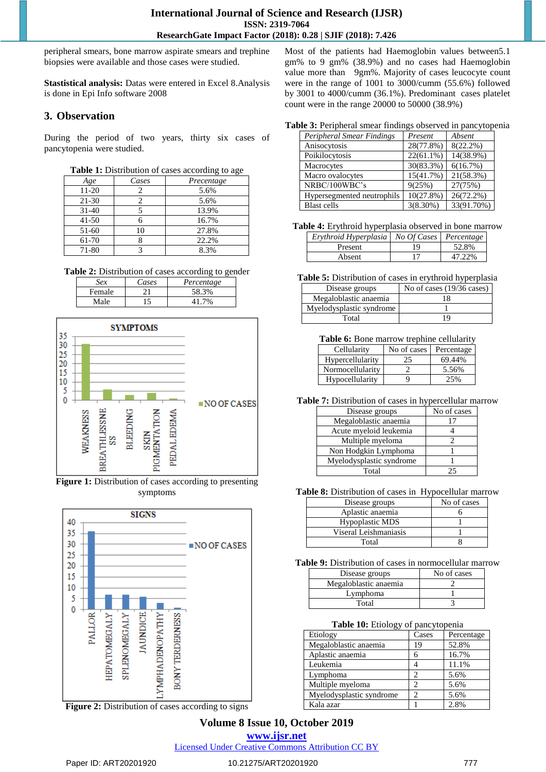peripheral smears, bone marrow aspirate smears and trephine biopsies were available and those cases were studied.

**Stastistical analysis:** Datas were entered in Excel 8.Analysis is done in Epi Info software 2008

# **3. Observation**

During the period of two years, thirty six cases of pancytopenia were studied.

| Table 1: Distribution of cases according to age |  |  |  |  |  |
|-------------------------------------------------|--|--|--|--|--|
|-------------------------------------------------|--|--|--|--|--|

| Age       | Cases | Precentage |
|-----------|-------|------------|
| $11-20$   |       | 5.6%       |
| $21 - 30$ |       | 5.6%       |
| $31 - 40$ |       | 13.9%      |
| $41 - 50$ |       | 16.7%      |
| $51-60$   | 10    | 27.8%      |
| 61-70     |       | 22.2%      |
| 71-80     |       | 8.3%       |

**Table 2:** Distribution of cases according to gender

| Sex    | Cases | Percentage |
|--------|-------|------------|
| Female |       | 58.3%      |
| Male   |       | 704        |



**Figure 1:** Distribution of cases according to presenting symptoms



Figure 2: Distribution of cases according to signs

Most of the patients had Haemoglobin values between5.1 gm% to 9 gm% (38.9%) and no cases had Haemoglobin value more than 9gm%. Majority of cases leucocyte count were in the range of 1001 to 3000/cumm (55.6%) followed by 3001 to 4000/cumm (36.1%). Predominant cases platelet count were in the range 20000 to 50000 (38.9%)

#### **Table 3:** Peripheral smear findings observed in pancytopenia

| <b>Peripheral Smear Findings</b> | Present      | Absent       |
|----------------------------------|--------------|--------------|
| Anisocytosis                     | 28(77.8%)    | $8(22.2\%)$  |
| Poikilocytosis                   | $22(61.1\%)$ | 14(38.9%)    |
| Macrocytes                       | 30(83.3%)    | 6(16.7%)     |
| Macro ovalocytes                 | 15(41.7%)    | 21(58.3%)    |
| NRBC/100WBC's                    | 9(25%)       | 27(75%)      |
| Hypersegmented neutrophils       | 10(27.8%)    | $26(72.2\%)$ |
| <b>Blast</b> cells               | $3(8.30\%)$  | 33(91.70%)   |

**Table 4:** Erythroid hyperplasia observed in bone marrow

| Erythroid Hyperplasia   No Of Cases   Percentage |    |        |
|--------------------------------------------------|----|--------|
| Present                                          | 19 | 52.8%  |
| Absent                                           |    | 47.22% |

**Table 5:** Distribution of cases in erythroid hyperplasia

| Disease groups           | No of cases $(19/36 \text{ cases})$ |
|--------------------------|-------------------------------------|
| Megaloblastic anaemia    | 18                                  |
| Myelodysplastic syndrome |                                     |
| Total                    | 19                                  |

Table 6: Bone marrow trephine cellularity

| Cellularity      | No of cases | Percentage |
|------------------|-------------|------------|
| Hypercellularity | 25          | 69.44%     |
| Normocellularity |             | 5.56%      |
| Hypocellularity  |             | 25%        |

**Table 7:** Distribution of cases in hypercellular marrow

| Disease groups           | No of cases |
|--------------------------|-------------|
| Megaloblastic anaemia    |             |
| Acute myeloid leukemia   |             |
| Multiple myeloma         |             |
| Non Hodgkin Lymphoma     |             |
| Myelodysplastic syndrome |             |
| Total                    | 25          |

**Table 8:** Distribution of cases in Hypocellular marrow

| Disease groups         | No of cases |
|------------------------|-------------|
| Aplastic anaemia       |             |
| <b>Hypoplastic MDS</b> |             |
| Viseral Leishmaniasis  |             |
| Total                  |             |

**Table 9:** Distribution of cases in normocellular marrow

| Disease groups        | No of cases |
|-----------------------|-------------|
| Megaloblastic anaemia |             |
| Lymphoma              |             |
| Total                 |             |

#### **Table 10:** Etiology of pancytopenia

| Etiology                 | Cases | Percentage |
|--------------------------|-------|------------|
| Megaloblastic anaemia    | 19    | 52.8%      |
| Aplastic anaemia         |       | 16.7%      |
| Leukemia                 |       | 11.1%      |
| Lymphoma                 |       | 5.6%       |
| Multiple myeloma         |       | 5.6%       |
| Myelodysplastic syndrome |       | 5.6%       |
| Kala azar                |       | 2.8%       |

# **Volume 8 Issue 10, October 2019**

**www.ijsr.net**

Licensed Under Creative Commons Attribution CC BY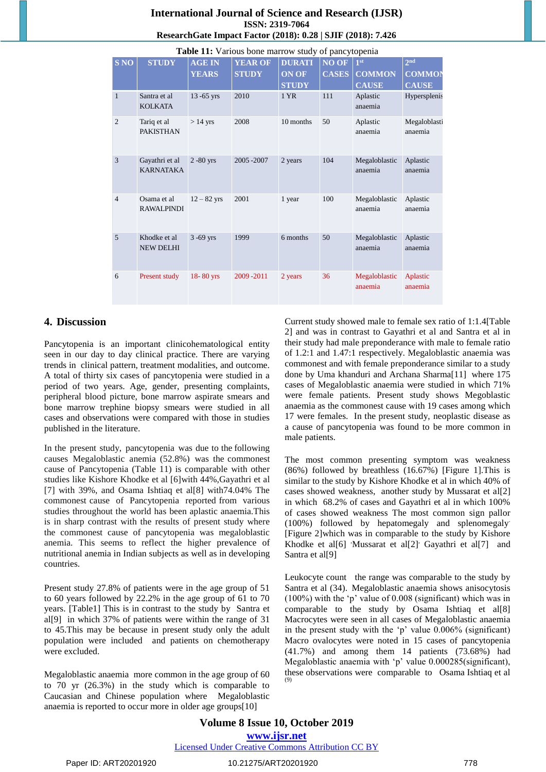# **International Journal of Science and Research (IJSR) ISSN: 2319-7064 ResearchGate Impact Factor (2018): 0.28 | SJIF (2018): 7.426**

|                | Table 11: Various bone marrow study of pancytopenia |               |                |               |                    |                          |                         |
|----------------|-----------------------------------------------------|---------------|----------------|---------------|--------------------|--------------------------|-------------------------|
| <b>S NO</b>    | <b>STUDY</b>                                        | <b>AGE IN</b> | <b>YEAR OF</b> | <b>DURATI</b> | $\overline{NO}$ OF | 1 <sup>st</sup>          | 2 <sub>nd</sub>         |
|                |                                                     | <b>YEARS</b>  | <b>STUDY</b>   | <b>ON OF</b>  | <b>CASES</b>       | <b>COMMON</b>            | <b>COMMON</b>           |
|                |                                                     |               |                | <b>STUDY</b>  |                    | <b>CAUSE</b>             | <b>CAUSE</b>            |
| $\mathbf{1}$   | Santra et al<br><b>KOLKATA</b>                      | $13 - 65$ yrs | 2010           | 1 YR          | 111                | Aplastic<br>anaemia      | Hypersplenis            |
| $\overline{2}$ | Tariq et al<br><b>PAKISTHAN</b>                     | $>14$ yrs     | 2008           | 10 months     | 50                 | Aplastic<br>anaemia      | Megaloblasti<br>anaemia |
| 3              | Gayathri et al<br><b>KARNATAKA</b>                  | $2 - 80$ yrs  | 2005-2007      | 2 years       | 104                | Megaloblastic<br>anaemia | Aplastic<br>anaemia     |
| $\overline{4}$ | Osama et al<br><b>RAWALPINDI</b>                    | $12 - 82$ yrs | 2001           | 1 year        | 100                | Megaloblastic<br>anaemia | Aplastic<br>anaemia     |
| 5              | Khodke et al<br><b>NEW DELHI</b>                    | $3 - 69$ yrs  | 1999           | 6 months      | 50                 | Megaloblastic<br>anaemia | Aplastic<br>anaemia     |
| 6              | Present study                                       | 18-80 yrs     | 2009-2011      | 2 years       | 36                 | Megaloblastic<br>anaemia | Aplastic<br>anaemia     |

# **4. Discussion**

Pancytopenia is an important clinicohematological entity seen in our day to day clinical practice. There are varying trends in clinical pattern, treatment modalities, and outcome. A total of thirty six cases of pancytopenia were studied in a period of two years. Age, gender, presenting complaints, peripheral blood picture, bone marrow aspirate smears and bone marrow trephine biopsy smears were studied in all cases and observations were compared with those in studies published in the literature.

In the present study, pancytopenia was due to the following causes Megaloblastic anemia (52.8%) was the commonest cause of Pancytopenia (Table 11) is comparable with other studies like Kishore Khodke et al [6]with 44%,Gayathri et al [7] with 39%, and Osama Ishtiaq et al[8] with74.04% The commonest cause of Pancytopenia reported from various studies throughout the world has been aplastic anaemia.This is in sharp contrast with the results of present study where the commonest cause of pancytopenia was megaloblastic anemia. This seems to reflect the higher prevalence of nutritional anemia in Indian subjects as well as in developing countries.

Present study 27.8% of patients were in the age group of 51 to 60 years followed by 22.2% in the age group of 61 to 70 years. [Table1] This is in contrast to the study by Santra et al[9] in which 37% of patients were within the range of 31 to 45.This may be because in present study only the adult population were included and patients on chemotherapy were excluded.

Megaloblastic anaemia more common in the age group of 60 to 70 yr (26.3%) in the study which is comparable to Caucasian and Chinese population where Megaloblastic anaemia is reported to occur more in older age groups[10]

Current study showed male to female sex ratio of 1:1.4[Table 2] and was in contrast to Gayathri et al and Santra et al in their study had male preponderance with male to female ratio of 1.2:1 and 1.47:1 respectively. Megaloblastic anaemia was commonest and with female preponderance similar to a study done by Uma khanduri and Archana Sharma[11] where 175 cases of Megaloblastic anaemia were studied in which 71% were female patients. Present study shows Megoblastic anaemia as the commonest cause with 19 cases among which 17 were females. In the present study, neoplastic disease as a cause of pancytopenia was found to be more common in male patients.

The most common presenting symptom was weakness (86%) followed by breathless (16.67%) [Figure 1].This is similar to the study by Kishore Khodke et al in which 40% of cases showed weakness, another study by Mussarat et al[2] in which 68.2% of cases and Gayathri et al in which 100% of cases showed weakness The most common sign pallor (100%) followed by hepatomegaly and splenomegaly. [Figure 2]which was in comparable to the study by Kishore Khodke et al[6] 'Mussarat et al[2]' Gayathri et al[7] and Santra et al[9]

Leukocyte count the range was comparable to the study by Santra et al (34). Megaloblastic anaemia shows anisocytosis (100%) with the 'p' value of 0.008 (significant) which was in comparable to the study by Osama Ishtiaq et al[8] Macrocytes were seen in all cases of Megaloblastic anaemia in the present study with the 'p' value 0.006% (significant) Macro ovalocytes were noted in 15 cases of pancytopenia (41.7%) and among them 14 patients (73.68%) had Megaloblastic anaemia with 'p' value 0.000285(significant), these observations were comparable to Osama Ishtiaq et al (9)

**Volume 8 Issue 10, October 2019 www.ijsr.net** Licensed Under Creative Commons Attribution CC BY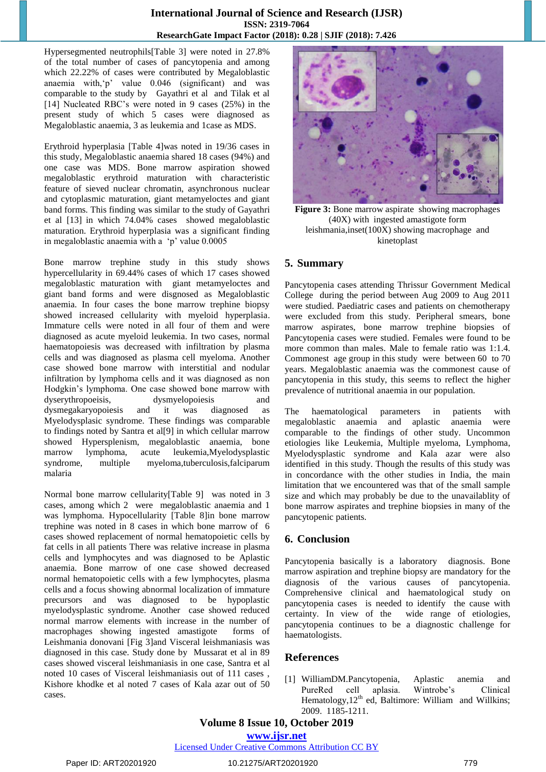### **International Journal of Science and Research (IJSR) ISSN: 2319-7064 ResearchGate Impact Factor (2018): 0.28 | SJIF (2018): 7.426**

Hypersegmented neutrophils[Table 3] were noted in 27.8% of the total number of cases of pancytopenia and among which 22.22% of cases were contributed by Megaloblastic anaemia with,'p' value 0.046 (significant) and was comparable to the study by Gayathri et al and Tilak et al [14] Nucleated RBC's were noted in 9 cases (25%) in the present study of which 5 cases were diagnosed as Megaloblastic anaemia, 3 as leukemia and 1case as MDS.

Erythroid hyperplasia [Table 4]was noted in 19/36 cases in this study, Megaloblastic anaemia shared 18 cases (94%) and one case was MDS. Bone marrow aspiration showed megaloblastic erythroid maturation with characteristic feature of sieved nuclear chromatin, asynchronous nuclear and cytoplasmic maturation, giant metamyeloctes and giant band forms. This finding was similar to the study of Gayathri et al [13] in which 74.04% cases showed megaloblastic maturation. Erythroid hyperplasia was a significant finding in megaloblastic anaemia with a 'p' value 0.0005

Bone marrow trephine study in this study shows hypercellularity in 69.44% cases of which 17 cases showed megaloblastic maturation with giant metamyeloctes and giant band forms and were disgnosed as Megaloblastic anaemia. In four cases the bone marrow trephine biopsy showed increased cellularity with myeloid hyperplasia. Immature cells were noted in all four of them and were diagnosed as acute myeloid leukemia. In two cases, normal haematopoiesis was decreased with infiltration by plasma cells and was diagnosed as plasma cell myeloma. Another case showed bone marrow with interstitial and nodular infiltration by lymphoma cells and it was diagnosed as non Hodgkin's lymphoma. One case showed bone marrow with dyserythropoeisis, dysmyelopoiesis and dysmegakaryopoiesis and it was diagnosed as Myelodysplasic syndrome. These findings was comparable to findings noted by Santra et al[9] in which cellular marrow showed Hypersplenism, megaloblastic anaemia, bone marrow lymphoma, acute leukemia,Myelodysplastic syndrome, multiple myeloma,tuberculosis,falciparum malaria

Normal bone marrow cellularity[Table 9] was noted in 3 cases, among which 2 were megaloblastic anaemia and 1 was lymphoma. Hypocellularity [Table 8]in bone marrow trephine was noted in 8 cases in which bone marrow of 6 cases showed replacement of normal hematopoietic cells by fat cells in all patients There was relative increase in plasma cells and lymphocytes and was diagnosed to be Aplastic anaemia. Bone marrow of one case showed decreased normal hematopoietic cells with a few lymphocytes, plasma cells and a focus showing abnormal localization of immature precursors and was diagnosed to be hypoplastic myelodysplastic syndrome. Another case showed reduced normal marrow elements with increase in the number of macrophages showing ingested amastigote forms of Leishmania donovani [Fig 3]and Visceral leishmaniasis was diagnosed in this case. Study done by Mussarat et al in 89 cases showed visceral leishmaniasis in one case, Santra et al noted 10 cases of Visceral leishmaniasis out of 111 cases , Kishore khodke et al noted 7 cases of Kala azar out of 50 cases.



**Figure 3:** Bone marrow aspirate showing macrophages (40X) with ingested amastigote form leishmania,inset(100X) showing macrophage and kinetoplast

# **5. Summary**

Pancytopenia cases attending Thrissur Government Medical College during the period between Aug 2009 to Aug 2011 were studied. Paediatric cases and patients on chemotherapy were excluded from this study. Peripheral smears, bone marrow aspirates, bone marrow trephine biopsies of Pancytopenia cases were studied. Females were found to be more common than males. Male to female ratio was 1:1.4. Commonest age group in this study were between 60 to 70 years. Megaloblastic anaemia was the commonest cause of pancytopenia in this study, this seems to reflect the higher prevalence of nutritional anaemia in our population.

The haematological parameters in patients with megaloblastic anaemia and aplastic anaemia were comparable to the findings of other study. Uncommon etiologies like Leukemia, Multiple myeloma, Lymphoma, Myelodysplastic syndrome and Kala azar were also identified in this study. Though the results of this study was in concordance with the other studies in India, the main limitation that we encountered was that of the small sample size and which may probably be due to the unavailablity of bone marrow aspirates and trephine biopsies in many of the pancytopenic patients.

# **6. Conclusion**

Pancytopenia basically is a laboratory diagnosis. Bone marrow aspiration and trephine biopsy are mandatory for the diagnosis of the various causes of pancytopenia. Comprehensive clinical and haematological study on pancytopenia cases is needed to identify the cause with certainty. In view of the wide range of etiologies, pancytopenia continues to be a diagnostic challenge for haematologists.

# **References**

[1] WilliamDM.Pancytopenia, Aplastic anemia and PureRed cell aplasia. Wintrobe's Clinical Hematology,  $12<sup>th</sup>$  ed, Baltimore: William and Willkins; 2009. 1185-1211.

**Volume 8 Issue 10, October 2019**

**www.ijsr.net**

Licensed Under Creative Commons Attribution CC BY